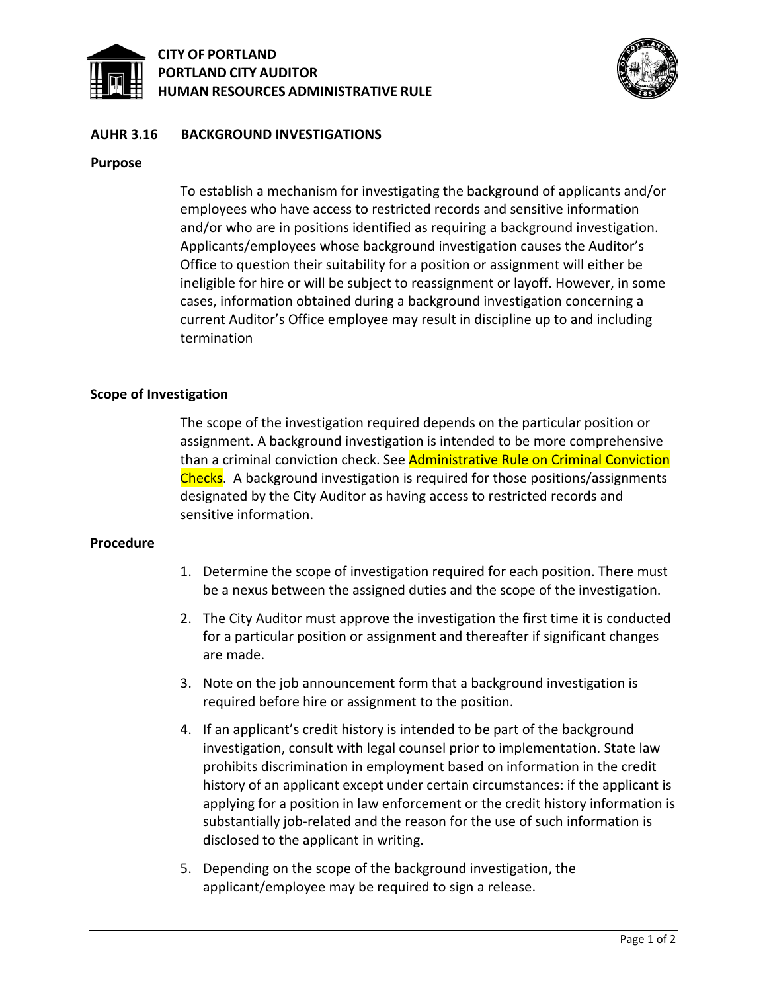



### **AUHR 3.16 BACKGROUND INVESTIGATIONS**

#### **Purpose**

To establish a mechanism for investigating the background of applicants and/or employees who have access to restricted records and sensitive information and/or who are in positions identified as requiring a background investigation. Applicants/employees whose background investigation causes the Auditor's Office to question their suitability for a position or assignment will either be ineligible for hire or will be subject to reassignment or layoff. However, in some cases, information obtained during a background investigation concerning a current Auditor's Office employee may result in discipline up to and including termination

#### **Scope of Investigation**

The scope of the investigation required depends on the particular position or assignment. A background investigation is intended to be more comprehensive than a criminal conviction check. See Administrative Rule on Criminal Conviction Checks. A background investigation is required for those positions/assignments designated by the City Auditor as having access to restricted records and sensitive information.

#### **Procedure**

- 1. Determine the scope of investigation required for each position. There must be a nexus between the assigned duties and the scope of the investigation.
- 2. The City Auditor must approve the investigation the first time it is conducted for a particular position or assignment and thereafter if significant changes are made.
- 3. Note on the job announcement form that a background investigation is required before hire or assignment to the position.
- 4. If an applicant's credit history is intended to be part of the background investigation, consult with legal counsel prior to implementation. State law prohibits discrimination in employment based on information in the credit history of an applicant except under certain circumstances: if the applicant is applying for a position in law enforcement or the credit history information is substantially job-related and the reason for the use of such information is disclosed to the applicant in writing.
- 5. Depending on the scope of the background investigation, the applicant/employee may be required to sign a release.